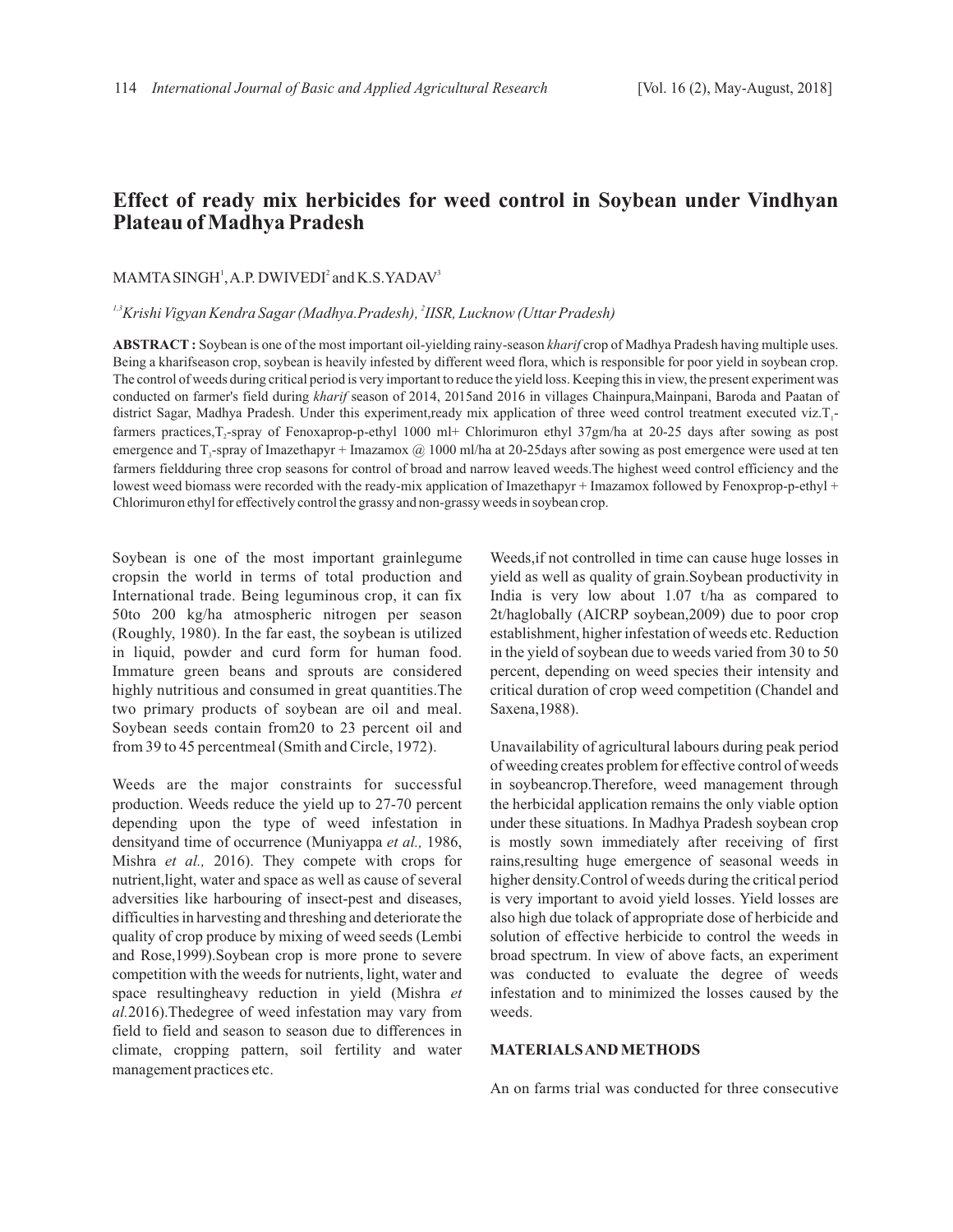# **Effect of ready mix herbicides for weed control in Soybean under Vindhyan Plateau of Madhya Pradesh**

## $MAMTA$   $SINGH<sup>1</sup>$ , A.P.  $DWIVEDI<sup>2</sup>$  and  $K.S.YADAV<sup>3</sup>$

*1,3 <sup>2</sup> Krishi Vigyan Kendra Sagar (Madhya.Pradesh), IISR, Lucknow (Uttar Pradesh)*

**ABSTRACT :** Soybean is one of the most important oil-yielding rainy-season *kharif* crop of Madhya Pradesh having multiple uses. Being a kharifseason crop, soybean is heavily infested by different weed flora, which is responsible for poor yield in soybean crop. The control of weeds during critical period is very important to reduce the yield loss. Keeping this in view, the present experiment was conducted on farmer's field during *kharif* season of 2014, 2015and 2016 in villages Chainpura,Mainpani, Baroda and Paatan of district Sagar, Madhya Pradesh. Under this experiment,ready mix application of three weed control treatment executed viz.T<sub>1</sub>farmers practices, T<sub>2</sub>-spray of Fenoxaprop-p-ethyl 1000 ml+ Chlorimuron ethyl 37gm/ha at 20-25 days after sowing as post emergence and T<sub>3</sub>-spray of Imazethapyr + Imazamox  $@$  1000 ml/ha at 20-25days after sowing as post emergence were used at ten farmers fieldduring three crop seasons for control of broad and narrow leaved weeds.The highest weed control efficiency and the lowest weed biomass were recorded with the ready-mix application of Imazethapyr + Imazamox followed by Fenoxprop-p-ethyl + Chlorimuron ethyl for effectively control the grassy and non-grassy weeds in soybean crop.

Soybean is one of the most important grainlegume cropsin the world in terms of total production and International trade. Being leguminous crop, it can fix 50to 200 kg/ha atmospheric nitrogen per season (Roughly, 1980). In the far east, the soybean is utilized in liquid, powder and curd form for human food. Immature green beans and sprouts are considered highly nutritious and consumed in great quantities.The two primary products of soybean are oil and meal. Soybean seeds contain from20 to 23 percent oil and from 39 to 45 percentmeal (Smith and Circle, 1972).

Weeds are the major constraints for successful production. Weeds reduce the yield up to 27-70 percent depending upon the type of weed infestation in densityand time of occurrence (Muniyappa *et al.,* 1986, Mishra *et al.,* 2016). They compete with crops for nutrient,light, water and space as well as cause of several adversities like harbouring of insect-pest and diseases, difficulties in harvesting and threshing and deteriorate the quality of crop produce by mixing of weed seeds (Lembi and Rose,1999).Soybean crop is more prone to severe competition with the weeds for nutrients, light, water and space resultingheavy reduction in yield (Mishra *et al.*2016).Thedegree of weed infestation may vary from field to field and season to season due to differences in climate, cropping pattern, soil fertility and water management practices etc.

Weeds,if not controlled in time can cause huge losses in yield as well as quality of grain.Soybean productivity in India is very low about 1.07 t/ha as compared to 2t/haglobally (AICRP soybean,2009) due to poor crop establishment, higher infestation of weeds etc. Reduction in the yield of soybean due to weeds varied from 30 to 50 percent, depending on weed species their intensity and critical duration of crop weed competition (Chandel and Saxena,1988).

Unavailability of agricultural labours during peak period of weeding creates problem for effective control of weeds in soybeancrop.Therefore, weed management through the herbicidal application remains the only viable option under these situations. In Madhya Pradesh soybean crop is mostly sown immediately after receiving of first rains,resulting huge emergence of seasonal weeds in higher density.Control of weeds during the critical period is very important to avoid yield losses. Yield losses are also high due tolack of appropriate dose of herbicide and solution of effective herbicide to control the weeds in broad spectrum. In view of above facts, an experiment was conducted to evaluate the degree of weeds infestation and to minimized the losses caused by the weeds.

## **MATERIALS AND METHODS**

An on farms trial was conducted for three consecutive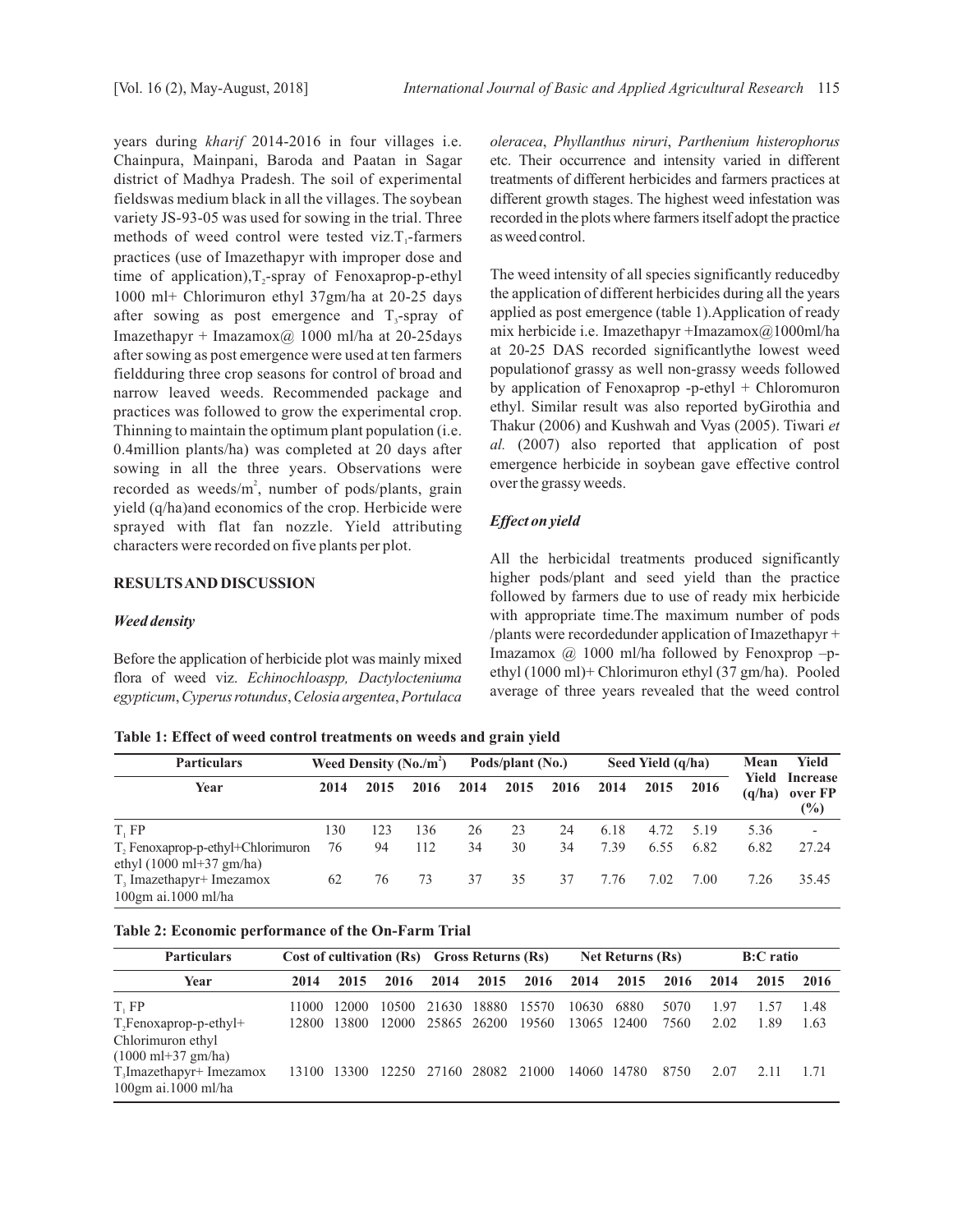years during *kharif* 2014-2016 in four villages i.e. Chainpura, Mainpani, Baroda and Paatan in Sagar district of Madhya Pradesh. The soil of experimental fieldswas medium black in all the villages. The soybean variety JS-93-05 was used for sowing in the trial. Three methods of weed control were tested viz. $T_1$ -farmers practices (use of Imazethapyr with improper dose and time of application),  $T_2$ -spray of Fenoxaprop-p-ethyl 1000 ml+ Chlorimuron ethyl 37gm/ha at 20-25 days after sowing as post emergence and  $T_3$ -spray of Imazethapyr + Imazamox $\omega$  1000 ml/ha at 20-25 days after sowing as post emergence were used at ten farmers fieldduring three crop seasons for control of broad and narrow leaved weeds. Recommended package and practices was followed to grow the experimental crop. Thinning to maintain the optimum plant population (i.e. 0.4million plants/ha) was completed at 20 days after sowing in all the three years. Observations were recorded as weeds/m<sup>2</sup>, number of pods/plants, grain yield (q/ha)and economics of the crop. Herbicide were sprayed with flat fan nozzle. Yield attributing characters were recorded on five plants per plot.

## **RESULTS AND DISCUSSION**

#### *Weed density*

Before the application of herbicide plot was mainly mixed flora of weed viz. *Echinochloaspp, Dactylocteniuma egypticum*,*Cyperusrotundus*,*Celosia argentea*,*Portulaca* *oleracea*, *Phyllanthus niruri*, *Parthenium histerophorus* etc. Their occurrence and intensity varied in different treatments of different herbicides and farmers practices at different growth stages. The highest weed infestation was recorded in the plots where farmers itself adopt the practice as weed control.

The weed intensity of all species significantly reducedby the application of different herbicides during all the years applied as post emergence (table 1).Application of ready mix herbicide i.e. Imazethapyr +Imazamox@1000ml/ha at 20-25 DAS recorded significantlythe lowest weed populationof grassy as well non-grassy weeds followed by application of Fenoxaprop -p-ethyl + Chloromuron ethyl. Similar result was also reported byGirothia and Thakur (2006) and Kushwah and Vyas (2005). Tiwari *et al.* (2007) also reported that application of post emergence herbicide in soybean gave effective control over the grassy weeds.

## *Effect on yield*

All the herbicidal treatments produced significantly higher pods/plant and seed yield than the practice followed by farmers due to use of ready mix herbicide with appropriate time.The maximum number of pods /plants were recordedunder application of Imazethapyr + Imazamox @ 1000 ml/ha followed by Fenoxprop –pethyl (1000 ml)+ Chlorimuron ethyl (37 gm/ha). Pooled average of three years revealed that the weed control

**Table 1: Effect of weed control treatments on weeds and grain yield**

| <b>Particulars</b>                                                              | Weed Density $(N_0/m^2)$ |      |      | Pods/plant (No.) |      |      | Seed Yield (q/ha) |      |      | Mean            | Yield                                |
|---------------------------------------------------------------------------------|--------------------------|------|------|------------------|------|------|-------------------|------|------|-----------------|--------------------------------------|
| Year                                                                            | 2014                     | 2015 | 2016 | 2014             | 2015 | 2016 | 2014              | 2015 | 2016 | Yield<br>(q/ha) | <b>Increase</b><br>over FP<br>$(\%)$ |
| T, FP                                                                           | 130                      | 123  | 136  | 26               | 23   | 24   | 6.18              | 4.72 | 5.19 | 5.36            | $\overline{\phantom{0}}$             |
| T, Fenoxaprop-p-ethyl+Chlorimuron<br>ethyl $(1000 \text{ ml}+37 \text{ gm/ha})$ | 76                       | 94   | 112  | 34               | 30   | 34   | 7.39              | 6.55 | 6.82 | 6.82            | 27.24                                |
| T <sub>3</sub> Imazethapyr <sup>+</sup> Imezamox<br>$100$ gm ai.1000 ml/ha      | 62                       | 76   | 73   | 37               | 35   | 37   | 7.76              | 7.02 | 7.00 | 7.26            | 35.45                                |

## **Table 2: Economic performance of the On-Farm Trial**

| <b>Particulars</b>                                                                    | Cost of cultivation (Rs) Gross Returns (Rs) |       |       |             |       |       | <b>Net Returns (Rs)</b> |             |      | <b>B:C</b> ratio |      |      |
|---------------------------------------------------------------------------------------|---------------------------------------------|-------|-------|-------------|-------|-------|-------------------------|-------------|------|------------------|------|------|
| Year                                                                                  | 2014                                        | 2015  | 2016  | 2014        | 2015  | 2016  | 2014                    | 2015        | 2016 | 2014             | 2015 | 2016 |
| T, FP                                                                                 | 11000                                       | 12000 | 10500 | 21630       | 18880 | 15570 | 10630                   | 6880        | 5070 | 1.97             | 1.57 | 1.48 |
| $T2$ Fenoxaprop-p-ethyl+<br>Chlorimuron ethyl<br>$(1000 \text{ ml}+37 \text{ gm/ha})$ | 12800                                       | 13800 | 12000 | 25865 26200 |       | 19560 |                         | 13065 12400 | 7560 | 2.02             | 1.89 | 1.63 |
| $T3$ Imazethapyr+ Imezamox<br>$100$ gm ai.1000 ml/ha                                  | 13100                                       | 13300 | 12250 | 27160       | 28082 | 21000 |                         | 14060 14780 | 8750 | 2.07             | 2.11 | 171  |